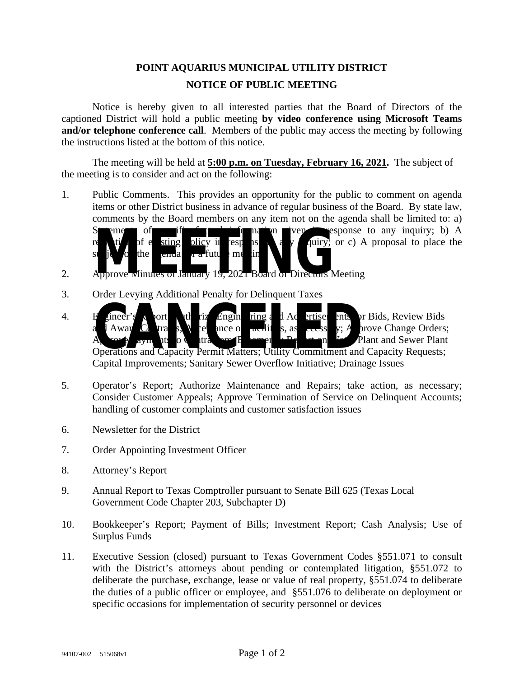## **POINT AQUARIUS MUNICIPAL UTILITY DISTRICT NOTICE OF PUBLIC MEETING**

Notice is hereby given to all interested parties that the Board of Directors of the captioned District will hold a public meeting **by video conference using Microsoft Teams and/or telephone conference call**. Members of the public may access the meeting by following the instructions listed at the bottom of this notice.

The meeting will be held at **5:00 p.m. on Tuesday, February 16, 2021.** The subject of the meeting is to consider and act on the following:

- 1. Public Comments. This provides an opportunity for the public to comment on agenda items or other District business in advance of regular business of the Board. By state law, comments by the Board members on any item not on the agenda shall be limited to: a)  $\mathbf{v}$  exponse to any inquiry; b) A  $\lim_{x \to \infty}$  or c) A proposal to place the The tip of the tip of the tip of the tip of the tip of the tip of the tip of the tip of the tip of the tip of the tip of the tip of the tip of the tip of the tip of the tip of the tip of the tip of the tip of the tip of th
- 2. Approve wind es of January 19,  $2021$  Board of Directors Meeting
- 3. Order Levying Additional Penalty for Delinquent Taxes

subject of the agent of a future meeting.

- 4. Engineer's port; the rize Engine ing and Advertiser in the report Bids, Review Bids and Award Contracts, Acceptance of Facilities, as  $\frac{1}{2}$  as  $\frac{1}{2}$ ; Approve Change Orders; A rove ay uts to C it can be enough  $R_{\ell}$  at  $\ell$  Plant and Sewer Plant Francer's contributions and Capacity Permit Matters; Utility Commitment and Capacity Requests; Capital Improvements; Sanitary Sewer Overflow Initiative; Drainage Issues
- 5. Operator's Report; Authorize Maintenance and Repairs; take action, as necessary; Consider Customer Appeals; Approve Termination of Service on Delinquent Accounts; handling of customer complaints and customer satisfaction issues
- 6. Newsletter for the District
- 7. Order Appointing Investment Officer
- 8. Attorney's Report
- 9. Annual Report to Texas Comptroller pursuant to Senate Bill 625 (Texas Local Government Code Chapter 203, Subchapter D)
- 10. Bookkeeper's Report; Payment of Bills; Investment Report; Cash Analysis; Use of Surplus Funds
- 11. Executive Session (closed) pursuant to Texas Government Codes §551.071 to consult with the District's attorneys about pending or contemplated litigation, §551.072 to deliberate the purchase, exchange, lease or value of real property, §551.074 to deliberate the duties of a public officer or employee, and §551.076 to deliberate on deployment or specific occasions for implementation of security personnel or devices